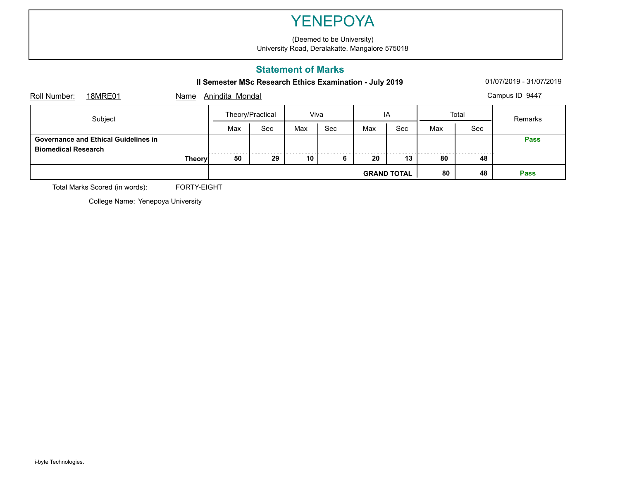(Deemed to be University) University Road, Deralakatte. Mangalore 575018

## **Statement of Marks**

**II Semester MSc Research Ethics Examination - July 2019** 01/07/2019 - 01/07/2019 - 31/07/2019

| Name | Campus ID 9447<br>Anindita Mondal |               |                  |      |     |     |                    |     |             |  |  |
|------|-----------------------------------|---------------|------------------|------|-----|-----|--------------------|-----|-------------|--|--|
|      |                                   |               |                  | Viva |     | IA  |                    |     | Remarks     |  |  |
|      | Max                               | Sec           | Max              | Sec  | Max | Sec | Max                | Sec |             |  |  |
|      |                                   |               |                  |      |     |     |                    |     | <b>Pass</b> |  |  |
|      | 50                                | 29            |                  | 6    | 20  | 13  | 80                 | 48  |             |  |  |
|      |                                   |               |                  |      |     |     | 80                 | 48  | <b>Pass</b> |  |  |
|      |                                   | <b>Theory</b> | Theory/Practical |      | 10  |     | <b>GRAND TOTAL</b> |     | Total       |  |  |

Total Marks Scored (in words): FORTY-EIGHT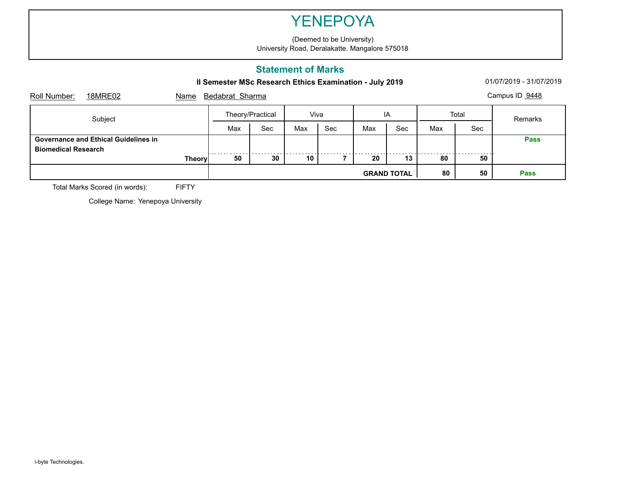(Deemed to be University) University Road, Deralakatte. Mangalore 575018

## **Statement of Marks**

**II Semester MSc Research Ethics Examination - July 2019** 01/07/2019 - 01/07/2019 - 31/07/2019

| Roll Number:               | 18MRE02                                     | Name          |                  | Campus ID 9448<br>Bedabrat Sharma |      |     |     |                    |       |     |             |  |  |
|----------------------------|---------------------------------------------|---------------|------------------|-----------------------------------|------|-----|-----|--------------------|-------|-----|-------------|--|--|
| Subject                    |                                             |               | Theory/Practical |                                   | Viva |     | IA  |                    | Total |     | Remarks     |  |  |
|                            |                                             |               | Max              | Sec                               | Max  | Sec | Max | Sec                | Max   | Sec |             |  |  |
| <b>Biomedical Research</b> | <b>Governance and Ethical Guidelines in</b> |               |                  |                                   |      |     |     |                    |       |     | <b>Pass</b> |  |  |
|                            |                                             | <b>Theory</b> | 50               | 30                                | 10   |     | 20  | 13                 | 80    | 50  |             |  |  |
|                            |                                             |               |                  |                                   |      |     |     | <b>GRAND TOTAL</b> | 80    | 50  | <b>Pass</b> |  |  |

Total Marks Scored (in words): FIFTY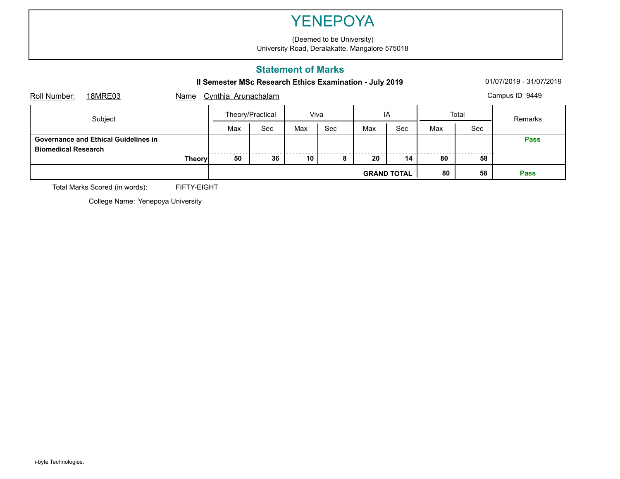(Deemed to be University) University Road, Deralakatte. Mangalore 575018

## **Statement of Marks**

**II Semester MSc Research Ethics Examination - July 2019** 01/07/2019 - 01/07/2019 - 31/07/2019

|                            |                                      |               |     |                                       |     |                |     | <b>GRAND TOTAL</b> | 80  | 58         | <b>Pass</b> |  |  |
|----------------------------|--------------------------------------|---------------|-----|---------------------------------------|-----|----------------|-----|--------------------|-----|------------|-------------|--|--|
|                            |                                      | <b>Theory</b> | 50  | 36                                    | 10  | $\bullet$<br>o | 20  | 14                 | 80  | 58         |             |  |  |
| <b>Biomedical Research</b> | Governance and Ethical Guidelines in |               |     |                                       |     |                |     |                    |     |            | <b>Pass</b> |  |  |
|                            |                                      |               | Max | Sec                                   | Max | Sec            | Max | Sec                | Max | <b>Sec</b> |             |  |  |
| Subject                    |                                      |               |     | Theory/Practical                      |     | Viva           |     | ΙA                 |     | Total      | Remarks     |  |  |
| Roll Number:               | 18MRE03                              | Name          |     | Campus ID 9449<br>Cynthia Arunachalam |     |                |     |                    |     |            |             |  |  |

Total Marks Scored (in words): FIFTY-EIGHT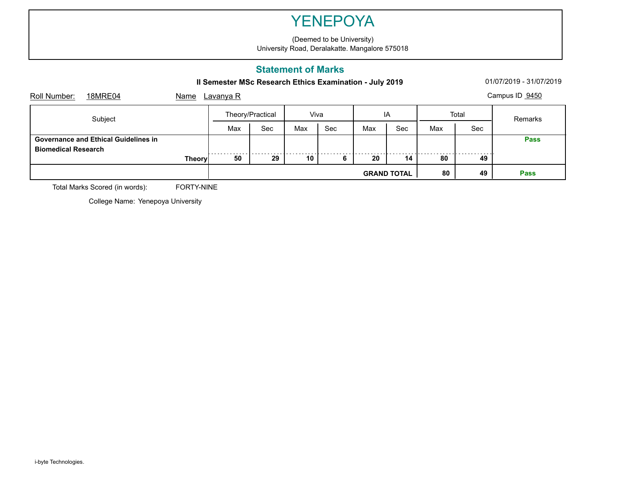(Deemed to be University) University Road, Deralakatte. Mangalore 575018

## **Statement of Marks**

**II Semester MSc Research Ethics Examination - July 2019** 01/07/2019 - 01/07/2019 - 31/07/2019

| Name |     |                                   |     |      |     |     |                    |            | Campus ID 9450 |
|------|-----|-----------------------------------|-----|------|-----|-----|--------------------|------------|----------------|
|      |     | Theory/Practical                  |     | Viva |     | IA  |                    |            | Remarks        |
|      | Max | Sec                               | Max | Sec  | Max | Sec | Max                | <b>Sec</b> |                |
|      |     |                                   |     |      |     |     |                    |            | <b>Pass</b>    |
|      | 50  | 29                                | 10  | 6    | 20  | 14  | 80                 | 49         |                |
|      |     |                                   |     |      |     |     | 80                 | 49         | <b>Pass</b>    |
|      |     | <u>Lavanya R</u><br><b>Theory</b> |     |      |     |     | <b>GRAND TOTAL</b> |            | Total          |

Total Marks Scored (in words): FORTY-NINE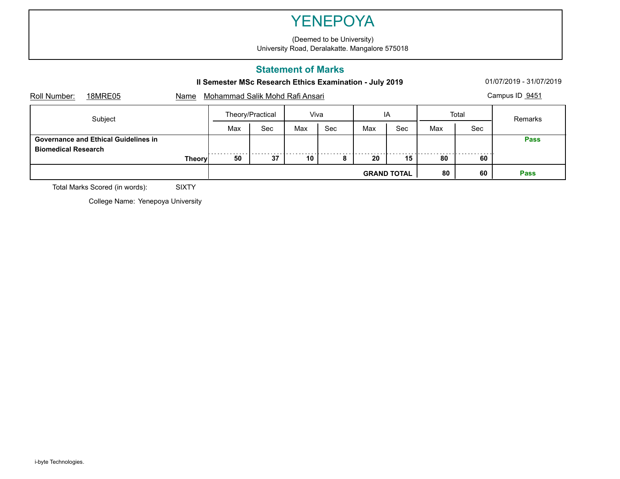(Deemed to be University) University Road, Deralakatte. Mangalore 575018

## **Statement of Marks**

**II Semester MSc Research Ethics Examination - July 2019** 01/07/2019 - 01/07/2019 - 31/07/2019

| Roll Number:               | 18MRE05                                     | Name          |                  | Campus ID 9451<br>Mohammad Salik Mohd Rafi Ansari |      |     |                    |     |       |             |             |  |  |
|----------------------------|---------------------------------------------|---------------|------------------|---------------------------------------------------|------|-----|--------------------|-----|-------|-------------|-------------|--|--|
| Subject                    |                                             |               | Theory/Practical |                                                   | Viva |     | IA                 |     | Total |             | Remarks     |  |  |
|                            |                                             |               | Max              | Sec                                               | Max  | Sec | Max                | Sec | Max   | Sec         |             |  |  |
| <b>Biomedical Research</b> | <b>Governance and Ethical Guidelines in</b> |               |                  |                                                   |      |     |                    |     |       |             | <b>Pass</b> |  |  |
|                            |                                             | <b>Theory</b> | 50               | 37                                                | 10   |     | 20                 | 15  | 80    | 60          |             |  |  |
|                            |                                             |               |                  |                                                   |      |     | <b>GRAND TOTAL</b> | 80  | 60    | <b>Pass</b> |             |  |  |

Total Marks Scored (in words): SIXTY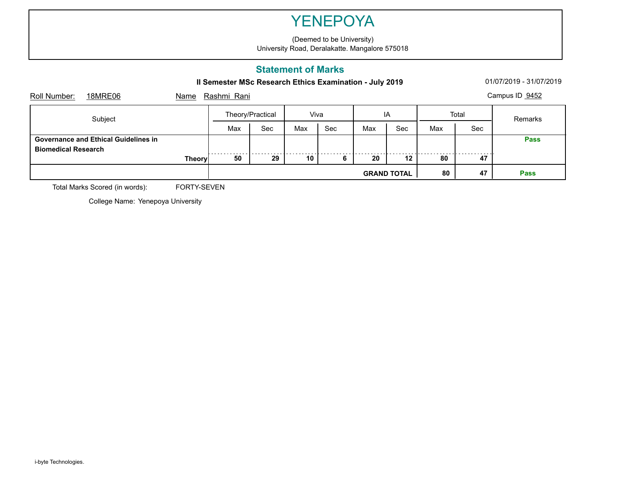(Deemed to be University) University Road, Deralakatte. Mangalore 575018

## **Statement of Marks**

**II Semester MSc Research Ethics Examination - July 2019** 01/07/2019 - 01/07/2019 - 31/07/2019

| Name |     |                  |             |      |     |     |                    |     | Campus ID 9452 |
|------|-----|------------------|-------------|------|-----|-----|--------------------|-----|----------------|
|      |     | Theory/Practical |             | Viva |     | ΙA  |                    |     | Remarks        |
|      | Max | Sec              | Max         | Sec  | Max | Sec | Max                | Sec |                |
|      |     |                  |             |      |     |     |                    |     | <b>Pass</b>    |
|      | 50  | 29               | 10          | 6    | 20  | 12  | 80                 | 47  |                |
|      |     |                  |             |      |     |     | 80                 | 47  | <b>Pass</b>    |
|      |     | <b>Theory</b>    | Rashmi Rani |      |     |     | <b>GRAND TOTAL</b> |     | Total          |

Total Marks Scored (in words): FORTY-SEVEN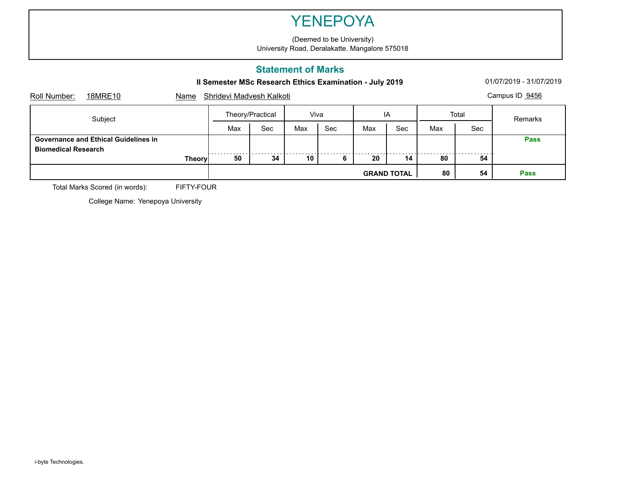(Deemed to be University) University Road, Deralakatte. Mangalore 575018

## **Statement of Marks**

**II Semester MSc Research Ethics Examination - July 2019** 01/07/2019 - 01/07/2019 - 31/07/2019

| 18MRE10                                                                   | Name    |     | Campus ID 9456     |                  |                          |     |     |                    |     |             |  |  |
|---------------------------------------------------------------------------|---------|-----|--------------------|------------------|--------------------------|-----|-----|--------------------|-----|-------------|--|--|
|                                                                           |         |     |                    | Viva             |                          | IA  |     | Total              |     | Remarks     |  |  |
|                                                                           |         | Max | Sec                | Max              | Sec                      | Max | Sec | Max                | Sec |             |  |  |
| <b>Governance and Ethical Guidelines in</b><br><b>Biomedical Research</b> |         |     |                    |                  |                          |     |     |                    |     | <b>Pass</b> |  |  |
|                                                                           |         | 50  | 34                 | 10               | 6                        | 20  | 14  | 80                 | 54  |             |  |  |
|                                                                           |         |     |                    |                  |                          |     |     | 80                 | 54  | <b>Pass</b> |  |  |
|                                                                           | Subject |     | .<br><b>Theory</b> | Theory/Practical | Shridevi Madvesh Kalkoti |     |     | <b>GRAND TOTAL</b> |     |             |  |  |

Total Marks Scored (in words): FIFTY-FOUR